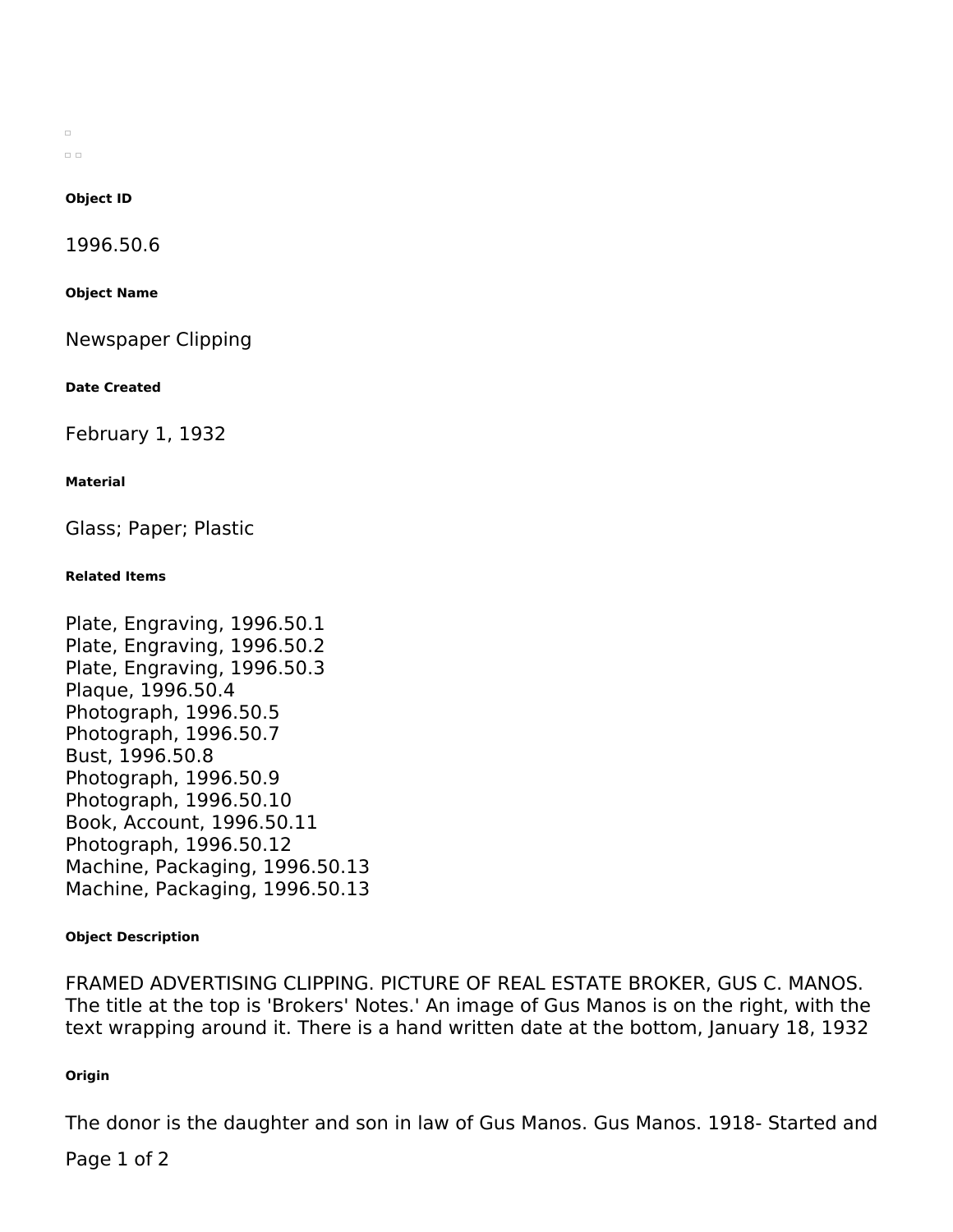$\Box$  $\Box$ 

## **Object ID**

1996.50.6

**Object Name**

Newspaper Clipping

**Date Created**

February 1, 1932

## **Material**

Glass; Paper; Plastic

## **Related Items**

Plate, Engraving, 1996.50.1 Plate, Engraving, 1996.50.2 Plate, Engraving, 1996.50.3 Plaque, 1996.50.4 Photograph, 1996.50.5 Photograph, 1996.50.7 Bust, 1996.50.8 Photograph, 1996.50.9 Photograph, 1996.50.10 Book, Account, 1996.50.11 Photograph, 1996.50.12 Machine, Packaging, 1996.50.13 Machine, Packaging, 1996.50.13

#### **Object Description**

FRAMED ADVERTISING CLIPPING. PICTURE OF REAL ESTATE BROKER, GUS C. MANOS. The title at the top is 'Brokers' Notes.' An image of Gus Manos is on the right, with the text wrapping around it. There is a hand written date at the bottom, January 18, 1932

## **Origin**

The donor is the daughter and son in law of Gus Manos. Gus Manos. 1918- Started and

Page 1 of 2